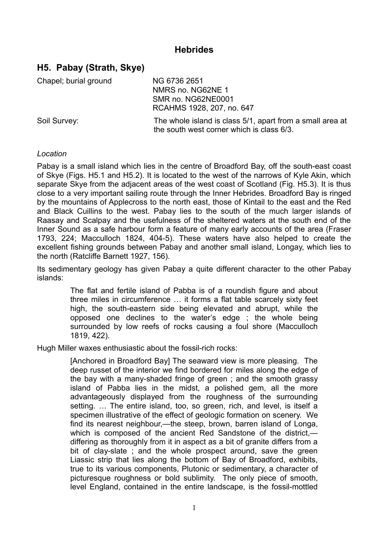## **Hebrides**

# **H5. Pabay (Strath, Skye)**

Chapel; burial ground NG 6736 2651

NMRS no. NG62NE 1 SMR no. NG62NE0001 RCAHMS 1928, 207, no. 647

Soil Survey: The whole island is class 5/1, apart from a small area at the south west corner which is class 6/3.

### *Location*

Pabay is a small island which lies in the centre of Broadford Bay, off the south-east coast of Skye (Figs. H5.1 and H5.2). It is located to the west of the narrows of Kyle Akin, which separate Skye from the adiacent areas of the west coast of Scotland (Fig. H5.3). It is thus close to a very important sailing route through the Inner Hebrides. Broadford Bay is ringed by the mountains of Applecross to the north east, those of Kintail to the east and the Red and Black Cuillins to the west. Pabay lies to the south of the much larger islands of Raasay and Scalpay and the usefulness of the sheltered waters at the south end of the Inner Sound as a safe harbour form a feature of many early accounts of the area (Fraser 1793, 224; Macculloch 1824, 404-5). These waters have also helped to create the excellent fishing grounds between Pabay and another small island, Longay, which lies to the north (Ratcliffe Barnett 1927, 156).

Its sedimentary geology has given Pabay a quite different character to the other Pabay islands:

> The flat and fertile island of Pabba is of a roundish figure and about three miles in circumference … it forms a flat table scarcely sixty feet high, the south-eastern side being elevated and abrupt, while the opposed one declines to the water's edge ; the whole being surrounded by low reefs of rocks causing a foul shore (Macculloch 1819, 422).

Hugh Miller waxes enthusiastic about the fossil-rich rocks:

[Anchored in Broadford Bay] The seaward view is more pleasing. The deep russet of the interior we find bordered for miles along the edge of the bay with a many-shaded fringe of green ; and the smooth grassy island of Pabba lies in the midst, a polished gem, all the more advantageously displayed from the roughness of the surrounding setting. … The entire island, too, so green, rich, and level, is itself a specimen illustrative of the effect of geologic formation on scenery. We find its nearest neighbour,—the steep, brown, barren island of Longa, which is composed of the ancient Red Sandstone of the district. differing as thoroughly from it in aspect as a bit of granite differs from a bit of clay-slate ; and the whole prospect around, save the green Liassic strip that lies along the bottom of Bay of Broadford, exhibits, true to its various components, Plutonic or sedimentary, a character of picturesque roughness or bold sublimity. The only piece of smooth, level England, contained in the entire landscape, is the fossil-mottled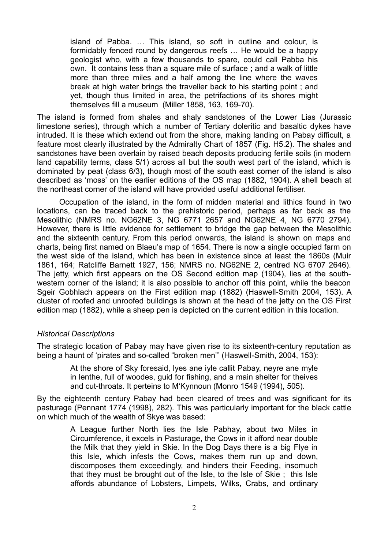island of Pabba. … This island, so soft in outline and colour, is formidably fenced round by dangerous reefs … He would be a happy geologist who, with a few thousands to spare, could call Pabba his own. It contains less than a square mile of surface ; and a walk of little more than three miles and a half among the line where the waves break at high water brings the traveller back to his starting point ; and yet, though thus limited in area, the petrifactions of its shores might themselves fill a museum (Miller 1858, 163, 169-70).

The island is formed from shales and shaly sandstones of the Lower Lias (Jurassic limestone series), through which a number of Tertiary doleritic and basaltic dykes have intruded. It is these which extend out from the shore, making landing on Pabay difficult, a feature most clearly illustrated by the Admiralty Chart of 1857 (Fig. H5.2). The shales and sandstones have been overlain by raised beach deposits producing fertile soils (in modern land capability terms, class 5/1) across all but the south west part of the island, which is dominated by peat (class 6/3), though most of the south east corner of the island is also described as 'moss' on the earlier editions of the OS map (1882, 1904). A shell beach at the northeast corner of the island will have provided useful additional fertiliser.

Occupation of the island, in the form of midden material and lithics found in two locations, can be traced back to the prehistoric period, perhaps as far back as the Mesolithic (NMRS no. NG62NE 3, NG 6771 2657 and NG62NE 4, NG 6770 2794). However, there is little evidence for settlement to bridge the gap between the Mesolithic and the sixteenth century. From this period onwards, the island is shown on maps and charts, being first named on Blaeu's map of 1654. There is now a single occupied farm on the west side of the island, which has been in existence since at least the 1860s (Muir 1861, 164; Ratcliffe Barnett 1927, 156; NMRS no. NG62NE 2, centred NG 6707 2646). The jetty, which first appears on the OS Second edition map (1904), lies at the southwestern corner of the island; it is also possible to anchor off this point, while the beacon Sgeir Gobhlach appears on the First edition map (1882) (Haswell-Smith 2004, 153). A cluster of roofed and unroofed buildings is shown at the head of the jetty on the OS First edition map (1882), while a sheep pen is depicted on the current edition in this location.

#### *Historical Descriptions*

The strategic location of Pabay may have given rise to its sixteenth-century reputation as being a haunt of 'pirates and so-called "broken men"' (Haswell-Smith, 2004, 153):

At the shore of Sky foresaid, lyes ane iyle callit Pabay, neyre ane myle in lenthe, full of woodes, guid for fishing, and a main shelter for theives and cut-throats. It perteins to M'Kynnoun (Monro 1549 (1994), 505).

By the eighteenth century Pabay had been cleared of trees and was significant for its pasturage (Pennant 1774 (1998), 282). This was particularly important for the black cattle on which much of the wealth of Skye was based:

> A League further North lies the Isle Pabhay, about two Miles in Circumference, it excels in Pasturage, the Cows in it afford near double the Milk that they yield in Skie. In the Dog Days there is a big Flye in this Isle, which infests the Cows, makes them run up and down, discomposes them exceedingly, and hinders their Feeding, insomuch that they must be brought out of the Isle, to the Isle of Skie ; this Isle affords abundance of Lobsters, Limpets, Wilks, Crabs, and ordinary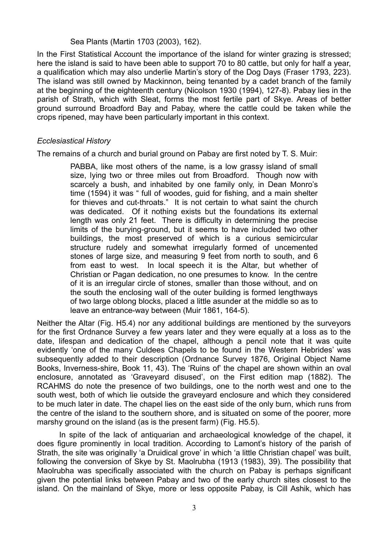#### Sea Plants (Martin 1703 (2003), 162).

In the First Statistical Account the importance of the island for winter grazing is stressed; here the island is said to have been able to support 70 to 80 cattle, but only for half a year, a qualification which may also underlie Martin's story of the Dog Days (Fraser 1793, 223). The island was still owned by Mackinnon, being tenanted by a cadet branch of the family at the beginning of the eighteenth century (Nicolson 1930 (1994), 127-8). Pabay lies in the parish of Strath, which with Sleat, forms the most fertile part of Skye. Areas of better ground surround Broadford Bay and Pabay, where the cattle could be taken while the crops ripened, may have been particularly important in this context.

### *Ecclesiastical History*

The remains of a church and burial ground on Pabay are first noted by T. S. Muir:

PABBA, like most others of the name, is a low grassy island of small size, lying two or three miles out from Broadford. Though now with scarcely a bush, and inhabited by one family only, in Dean Monro's time (1594) it was " full of woodes, guid for fishing, and a main shelter for thieves and cut-throats." It is not certain to what saint the church was dedicated. Of it nothing exists but the foundations its external length was only 21 feet. There is difficulty in determining the precise limits of the burying-ground, but it seems to have included two other buildings, the most preserved of which is a curious semicircular structure rudely and somewhat irregularly formed of uncemented stones of large size, and measuring 9 feet from north to south, and 6 from east to west. In local speech it is the Altar, but whether of Christian or Pagan dedication, no one presumes to know. In the centre of it is an irregular circle of stones, smaller than those without, and on the south the enclosing wall of the outer building is formed lengthways of two large oblong blocks, placed a little asunder at the middle so as to leave an entrance-way between (Muir 1861, 164-5).

Neither the Altar (Fig. H5.4) nor any additional buildings are mentioned by the surveyors for the first Ordnance Survey a few years later and they were equally at a loss as to the date, lifespan and dedication of the chapel, although a pencil note that it was quite evidently 'one of the many Culdees Chapels to be found in the Western Hebrides' was subsequently added to their description (Ordnance Survey 1876, Original Object Name Books, Inverness-shire, Book 11, 43). The 'Ruins of' the chapel are shown within an oval enclosure, annotated as 'Graveyard disused', on the First edition map (1882). The RCAHMS do note the presence of two buildings, one to the north west and one to the south west, both of which lie outside the graveyard enclosure and which they considered to be much later in date. The chapel lies on the east side of the only burn, which runs from the centre of the island to the southern shore, and is situated on some of the poorer, more marshy ground on the island (as is the present farm) (Fig. H5.5).

In spite of the lack of antiquarian and archaeological knowledge of the chapel, it does figure prominently in local tradition. According to Lamont's history of the parish of Strath, the site was originally 'a Druidical grove' in which 'a little Christian chapel' was built, following the conversion of Skye by St. Maolrubha (1913 (1983), 39). The possibility that Maolrubha was specifically associated with the church on Pabay is perhaps significant given the potential links between Pabay and two of the early church sites closest to the island. On the mainland of Skye, more or less opposite Pabay, is Cill Ashik, which has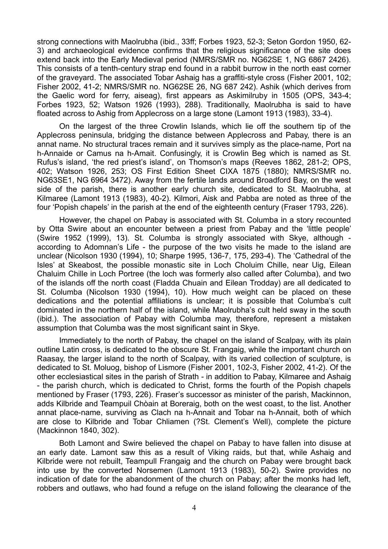strong connections with Maolrubha (ibid., 33ff; Forbes 1923, 52-3; Seton Gordon 1950, 62- 3) and archaeological evidence confirms that the religious significance of the site does extend back into the Early Medieval period (NMRS/SMR no. NG62SE 1, NG 6867 2426). This consists of a tenth-century strap end found in a rabbit burrow in the north east corner of the graveyard. The associated Tobar Ashaig has a graffiti-style cross (Fisher 2001, 102; Fisher 2002, 41-2; NMRS/SMR no. NG62SE 26, NG 687 242). Ashik (which derives from the Gaelic word for ferry, aiseag), first appears as Askimilruby in 1505 (OPS, 343-4; Forbes 1923, 52; Watson 1926 (1993), 288). Traditionally, Maolrubha is said to have floated across to Ashig from Applecross on a large stone (Lamont 1913 (1983), 33-4).

On the largest of the three Crowlin Islands, which lie off the southern tip of the Applecross peninsula, bridging the distance between Applecross and Pabay, there is an annat name. No structural traces remain and it survives simply as the place-name, Port na h-Annaide or Camus na h-Amait. Confusingly, it is Crowlin Beg which is named as St. Rufus's island, 'the red priest's island', on Thomson's maps (Reeves 1862, 281-2; OPS, 402; Watson 1926, 253; OS First Edition Sheet CIXA 1875 (1880); NMRS/SMR no. NG63SE1, NG 6964 3472). Away from the fertile lands around Broadford Bay, on the west side of the parish, there is another early church site, dedicated to St. Maolrubha, at Kilmaree (Lamont 1913 (1983), 40-2). Kilmori, Aisk and Pabba are noted as three of the four 'Popish chapels' in the parish at the end of the eighteenth century (Fraser 1793, 226).

However, the chapel on Pabay is associated with St. Columba in a story recounted by Otta Swire about an encounter between a priest from Pabay and the 'little people' (Swire 1952 (1999), 13). St. Columba is strongly associated with Skye, although according to Adomnan's Life - the purpose of the two visits he made to the island are unclear (Nicolson 1930 (1994), 10; Sharpe 1995, 136-7, 175, 293-4). The 'Cathedral of the Isles' at Skeabost, the possible monastic site in Loch Choluim Chille, near Uig, Eilean Chaluim Chille in Loch Portree (the loch was formerly also called after Columba), and two of the islands off the north coast (Fladda Chuain and Eilean Trodday) are all dedicated to St. Columba (Nicolson 1930 (1994), 10). How much weight can be placed on these dedications and the potential affiliations is unclear; it is possible that Columba's cult dominated in the northern half of the island, while Maolrubha's cult held sway in the south (ibid.). The association of Pabay with Columba may, therefore, represent a mistaken assumption that Columba was the most significant saint in Skye.

Immediately to the north of Pabay, the chapel on the island of Scalpay, with its plain outline Latin cross, is dedicated to the obscure St. Frangaig, while the important church on Raasay, the larger island to the north of Scalpay, with its varied collection of sculpture, is dedicated to St. Moluog, bishop of Lismore (Fisher 2001, 102-3, Fisher 2002, 41-2). Of the other ecclesiastical sites in the parish of Strath - in addition to Pabay, Kilmaree and Ashaig - the parish church, which is dedicated to Christ, forms the fourth of the Popish chapels mentioned by Fraser (1793, 226). Fraser's successor as minister of the parish, Mackinnon, adds Kilbride and Teampuil Chòain at Boreraig, both on the west coast, to the list. Another annat place-name, surviving as Clach na h-Annait and Tobar na h-Annait, both of which are close to Kilbride and Tobar Chliamen (?St. Clement's Well), complete the picture (Mackinnon 1840, 302).

Both Lamont and Swire believed the chapel on Pabay to have fallen into disuse at an early date. Lamont saw this as a result of Viking raids, but that, while Ashaig and Kilbride were not rebuilt, Teampull Frangaig and the church on Pabay were brought back into use by the converted Norsemen (Lamont 1913 (1983), 50-2). Swire provides no indication of date for the abandonment of the church on Pabay; after the monks had left, robbers and outlaws, who had found a refuge on the island following the clearance of the